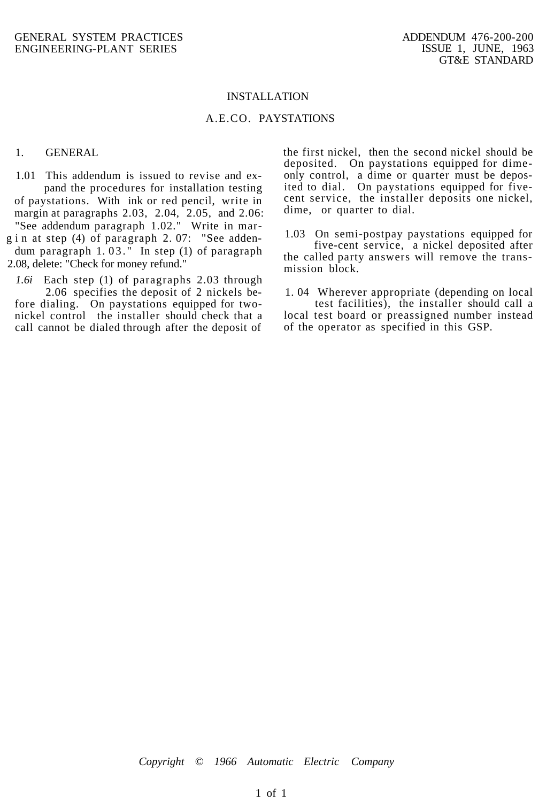#### INSTALLATION

# A.E.CO. PAYSTATIONS

### 1. GENERAL

1.01 This addendum is issued to revise and expand the procedures for installation testing of paystations. With ink or red pencil, write in margin at paragraphs 2.03, 2.04, 2.05, and 2.06: "See addendum paragraph 1.02." Write in marg i n at step  $(4)$  of paragraph 2.07: "See addendum paragraph 1. 03. " In step (1) of paragraph 2.08, delete: "Check for money refund."

*1.6i* Each step (1) of paragraphs 2.03 through 2.06 specifies the deposit of 2 nickels before dialing. On paystations equipped for twonickel control the installer should check that a call cannot be dialed through after the deposit of the first nickel, then the second nickel should be deposited. On paystations equipped for dimeonly control, a dime or quarter must be deposited to dial. On paystations equipped for fivecent service, the installer deposits one nickel, dime, or quarter to dial.

1.03 On semi-postpay paystations equipped for five-cent service, a nickel deposited after

the called party answers will remove the transmission block.

1. 04 Wherever appropriate (depending on local

test facilities), the installer should call a local test board or preassigned number instead of the operator as specified in this GSP.

*Copyright © 1966 Automatic Electric Company*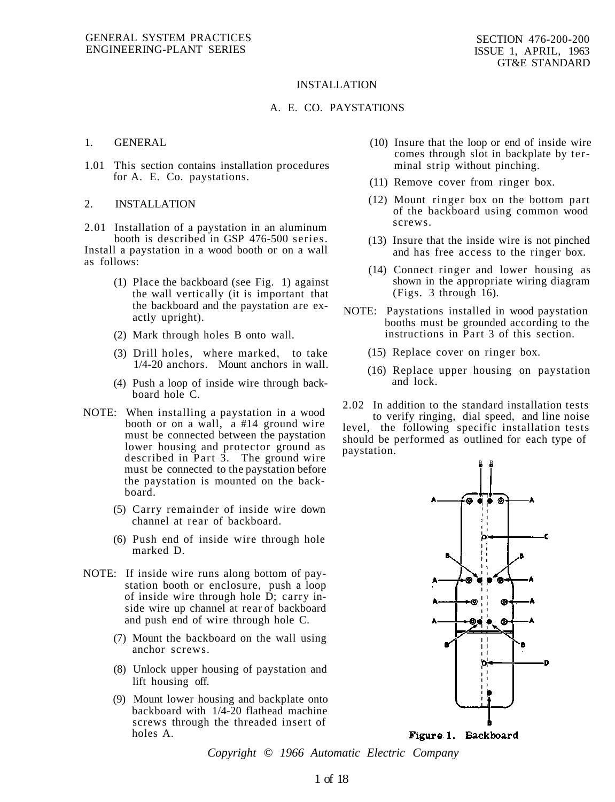#### INSTALLATION

### A. E. CO. PAYSTATIONS

### 1. GENERAL

1.01 This section contains installation procedures for A. E. Co. paystations.

#### 2. INSTALLATION

2.01 Installation of a paystation in an aluminum booth is described in GSP 476-500 series. Install a paystation in a wood booth or on a wall as follows:

- (1) Place the backboard (see Fig. 1) against the wall vertically (it is important that the backboard and the paystation are exactly upright).
- (2) Mark through holes B onto wall.
- (3) Drill holes, where marked, to take 1/4-20 anchors. Mount anchors in wall.
- (4) Push a loop of inside wire through backboard hole C.
- NOTE: When installing a paystation in a wood booth or on a wall, a #14 ground wire must be connected between the paystation lower housing and protector ground as described in Part 3. The ground wire must be connected to the paystation before the paystation is mounted on the backboard.
	- (5) Carry remainder of inside wire down channel at rear of backboard.
	- (6) Push end of inside wire through hole marked D.
- NOTE: If inside wire runs along bottom of paystation booth or enclosure, push a loop of inside wire through hole D; carry inside wire up channel at rear of backboard and push end of wire through hole C.
	- (7) Mount the backboard on the wall using anchor screws.
	- (8) Unlock upper housing of paystation and lift housing off.
	- (9) Mount lower housing and backplate onto backboard with 1/4-20 flathead machine screws through the threaded insert of holes A.
- (10) Insure that the loop or end of inside wire comes through slot in backplate by terminal strip without pinching.
- (11) Remove cover from ringer box.
- (12) Mount ringer box on the bottom part of the backboard using common wood screws.
- (13) Insure that the inside wire is not pinched and has free access to the ringer box.
- (14) Connect ringer and lower housing as shown in the appropriate wiring diagram (Figs. 3 through 16).
- NOTE: Paystations installed in wood paystation booths must be grounded according to the instructions in Part 3 of this section.
	- (15) Replace cover on ringer box.
	- (16) Replace upper housing on paystation and lock.
- 2.02 In addition to the standard installation tests

to verify ringing, dial speed, and line noise level, the following specific installation tests should be performed as outlined for each type of paystation.



Figure 1. Backboard

*Copyright © 1966 Automatic Electric Company*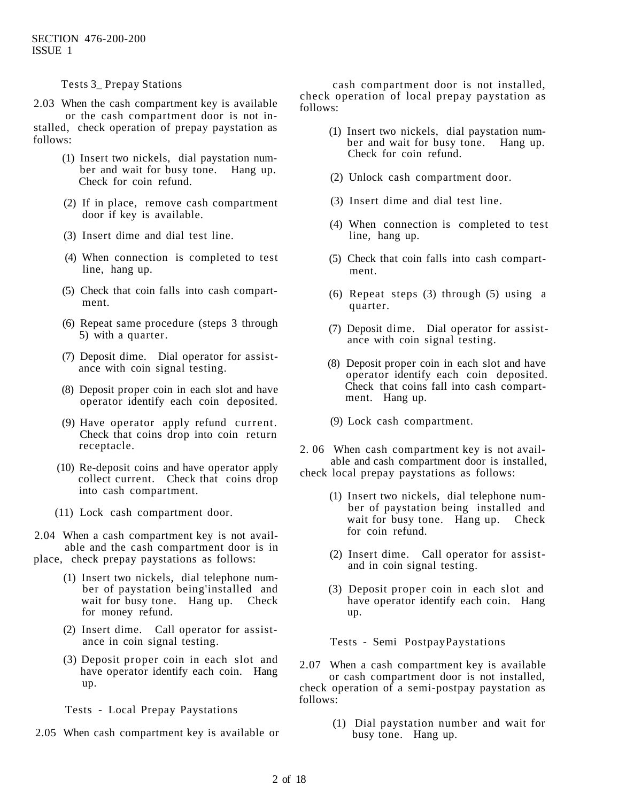Tests 3\_ Prepay Stations

2.03 When the cash compartment key is available or the cash compartment door is not installed, check operation of prepay paystation as follows:

- (1) Insert two nickels, dial paystation number and wait for busy tone. Hang up. Check for coin refund.
- (2) If in place, remove cash compartment door if key is available.
- (3) Insert dime and dial test line.
- (4) When connection is completed to test line, hang up.
- (5) Check that coin falls into cash compartment.
- (6) Repeat same procedure (steps 3 through 5) with a quarter.
- (7) Deposit dime. Dial operator for assistance with coin signal testing.
- (8) Deposit proper coin in each slot and have operator identify each coin deposited.
- (9) Have operator apply refund current. Check that coins drop into coin return receptacle.
- (10) Re-deposit coins and have operator apply collect current. Check that coins drop into cash compartment.
- (11) Lock cash compartment door.

2.04 When a cash compartment key is not available and the cash compartment door is in place, check prepay paystations as follows:

- (1) Insert two nickels, dial telephone number of paystation being'installed and wait for busy tone. Hang up. Check for money refund.
- (2) Insert dime. Call operator for assistance in coin signal testing.
- (3) Deposit proper coin in each slot and have operator identify each coin. Hang up.

Tests - Local Prepay Paystations

2.05 When cash compartment key is available or

cash compartment door is not installed, check operation of local prepay paystation as follows:

- (1) Insert two nickels, dial paystation number and wait for busy tone. Hang up. Check for coin refund.
- (2) Unlock cash compartment door.
- (3) Insert dime and dial test line.
- (4) When connection is completed to test line, hang up.
- (5) Check that coin falls into cash compartment.
- (6) Repeat steps (3) through (5) using a quarter.
- (7) Deposit dime. Dial operator for assistance with coin signal testing.
- (8) Deposit proper coin in each slot and have operator identify each coin deposited. Check that coins fall into cash compartment. Hang up.
- (9) Lock cash compartment.
- 2. 06 When cash compartment key is not available and cash compartment door is installed, check local prepay paystations as follows:
	- (1) Insert two nickels, dial telephone number of paystation being installed and wait for busy tone. Hang up. Check for coin refund.
	- (2) Insert dime. Call operator for assistand in coin signal testing.
	- (3) Deposit proper coin in each slot and have operator identify each coin. Hang up.

Tests - Semi PostpayPaystations

- 2.07 When a cash compartment key is available or cash compartment door is not installed, check operation of a semi-postpay paystation as follows:
	- (1) Dial paystation number and wait for busy tone. Hang up.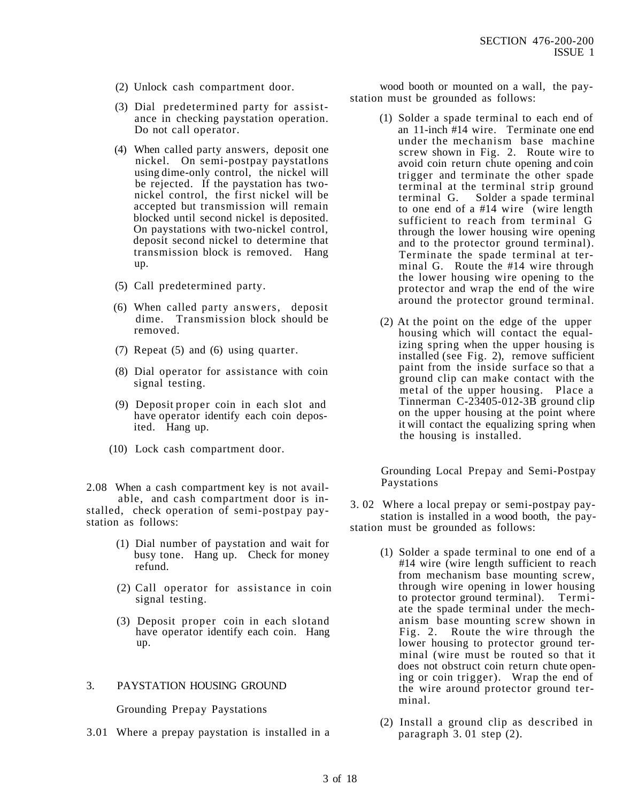- (2) Unlock cash compartment door.
- (3) Dial predetermined party for assistance in checking paystation operation. Do not call operator.
- (4) When called party answers, deposit one nickel. On semi-postpay paystatlons using dime-only control, the nickel will be rejected. If the paystation has twonickel control, the first nickel will be accepted but transmission will remain blocked until second nickel is deposited. On paystations with two-nickel control, deposit second nickel to determine that transmission block is removed. Hang up.
- (5) Call predetermined party.
- (6) When called party answers, deposit dime. Transmission block should be removed.
- (7) Repeat (5) and (6) using quarter.
- (8) Dial operator for assistance with coin signal testing.
- (9) Deposit proper coin in each slot and have operator identify each coin deposited. Hang up.
- (10) Lock cash compartment door.

2.08 When a cash compartment key is not available, and cash compartment door is installed, check operation of semi-postpay paystation as follows:

- (1) Dial number of paystation and wait for busy tone. Hang up. Check for money refund.
- (2) Call operator for assistance in coin signal testing.
- (3) Deposit proper coin in each slotand have operator identify each coin. Hang up.

# 3. PAYSTATION HOUSING GROUND

Grounding Prepay Paystations

3.01 Where a prepay paystation is installed in a

wood booth or mounted on a wall, the paystation must be grounded as follows:

- (1) Solder a spade terminal to each end of an 11-inch #14 wire. Terminate one end under the mechanism base machine screw shown in Fig. 2. Route wire to avoid coin return chute opening and coin trigger and terminate the other spade terminal at the terminal strip ground Solder a spade terminal to one end of a #14 wire (wire length sufficient to reach from terminal G through the lower housing wire opening and to the protector ground terminal). Terminate the spade terminal at terminal G. Route the #14 wire through the lower housing wire opening to the protector and wrap the end of the wire around the protector ground terminal.
- (2) At the point on the edge of the upper housing which will contact the equalizing spring when the upper housing is installed (see Fig. 2), remove sufficient paint from the inside surface so that a ground clip can make contact with the metal of the upper housing. Place a Tinnerman C-23405-012-3B ground clip on the upper housing at the point where it will contact the equalizing spring when the housing is installed.

Grounding Local Prepay and Semi-Postpay Paystations

- 3. 02 Where a local prepay or semi-postpay paystation is installed in a wood booth, the paystation must be grounded as follows:
	- (1) Solder a spade terminal to one end of a #14 wire (wire length sufficient to reach from mechanism base mounting screw, through wire opening in lower housing to protector ground terminal). Termiate the spade terminal under the mechanism base mounting screw shown in Fig. 2. Route the wire through the lower housing to protector ground terminal (wire must be routed so that it does not obstruct coin return chute opening or coin trigger). Wrap the end of the wire around protector ground terminal.
	- (2) Install a ground clip as described in paragraph 3. 01 step (2).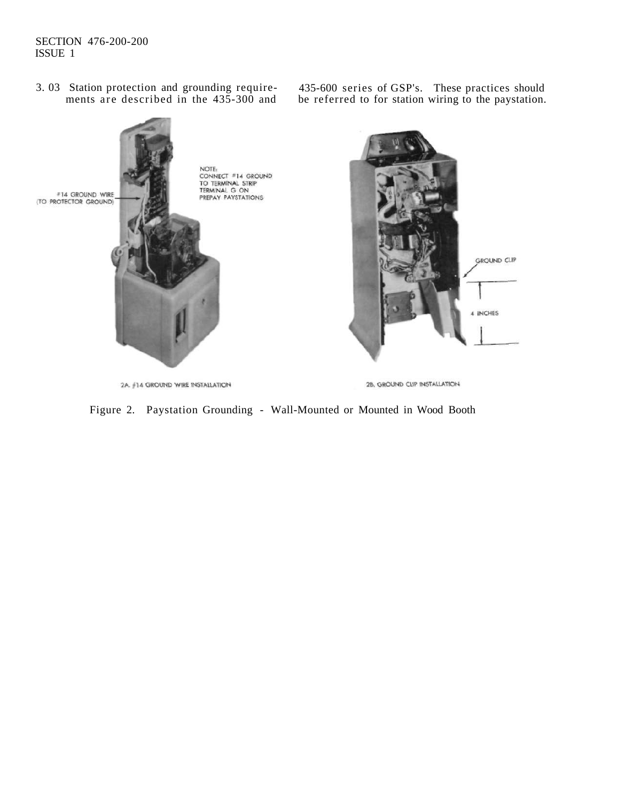# SECTION 476-200-200 ISSUE 1

3. 03 Station protection and grounding requirements are described in the 435-300 and 435-600 series of GSP's. These practices should be referred to for station wiring to the paystation.



Figure 2. Paystation Grounding - Wall-Mounted or Mounted in Wood Booth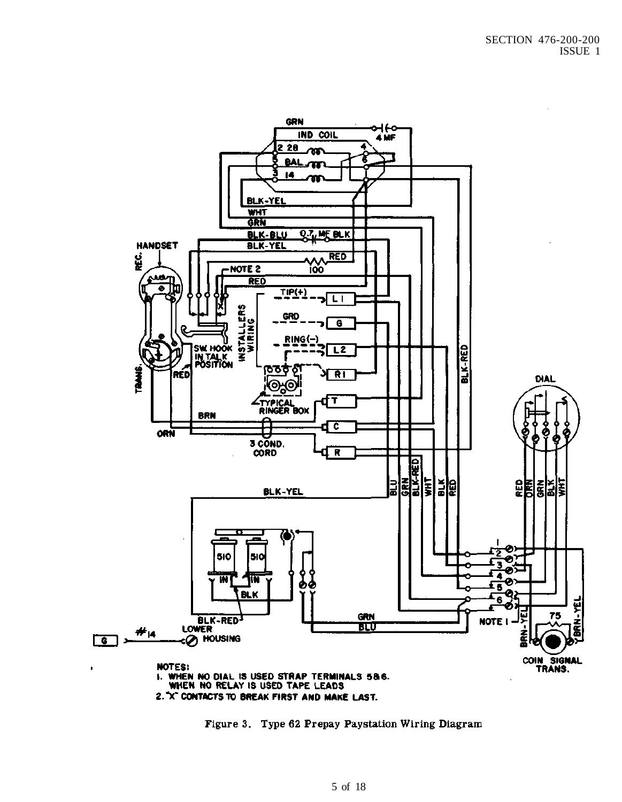

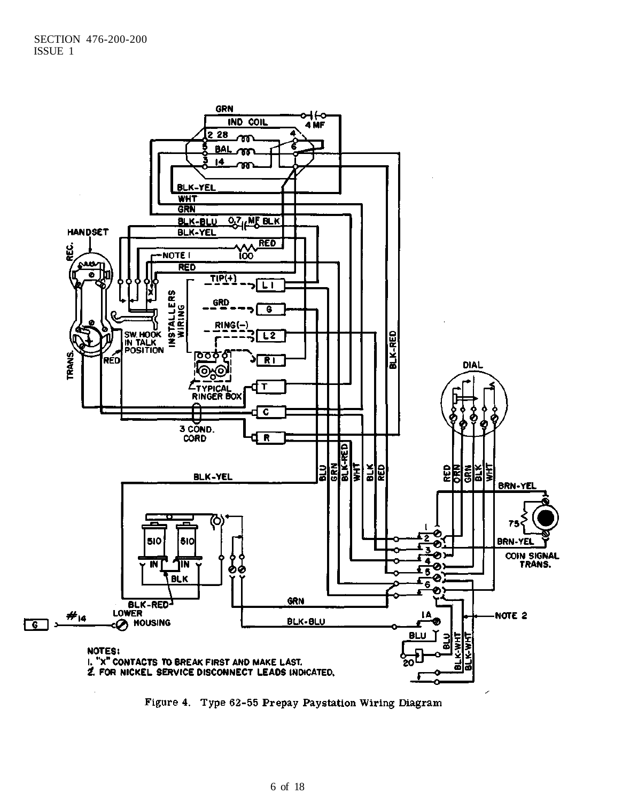

Figure 4. Type 62-55 Prepay Paystation Wiring Diagram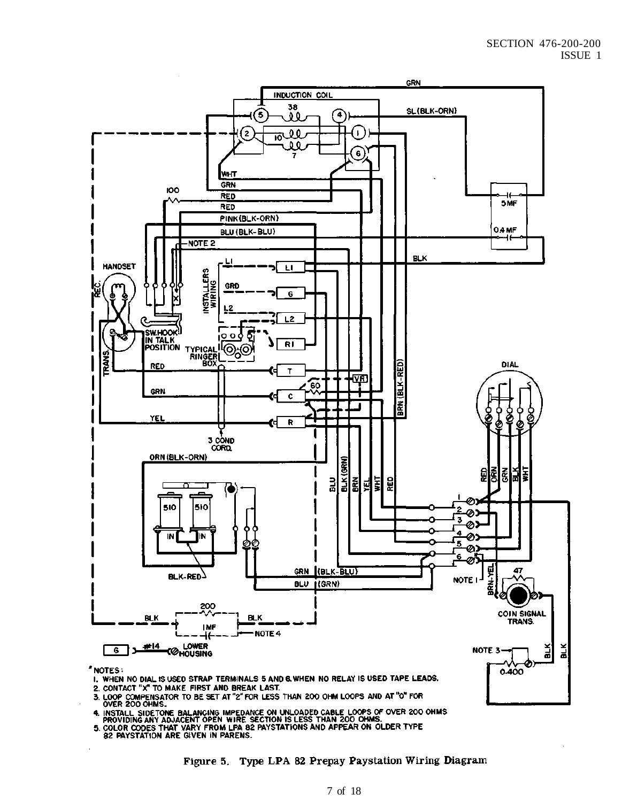

- 3. LOOP COMPENSATOR TO BE SET AT "2" FOR LESS THAN 200 OHM LOOPS AND AT "0" FOR OVER 200 OHMS.
- 4. INSTALL SIDE ONE BALANCING IMPEDANCE ON UNLOADED CABLE LOOPS OF OVER 200 OHMS.<br>PROVIDING ANY ADJACENT OPEN WIRE SECTION IS LESS THAN 200 OHMS.<br>5. COLOR CODES THAT VARY FROM LPA 82 PAYSTATIONS AND APPEAR ON OLDER TYPE<br>82
- 
- 

Figure 5. Type LPA 82 Prepay Paystation Wiring Diagram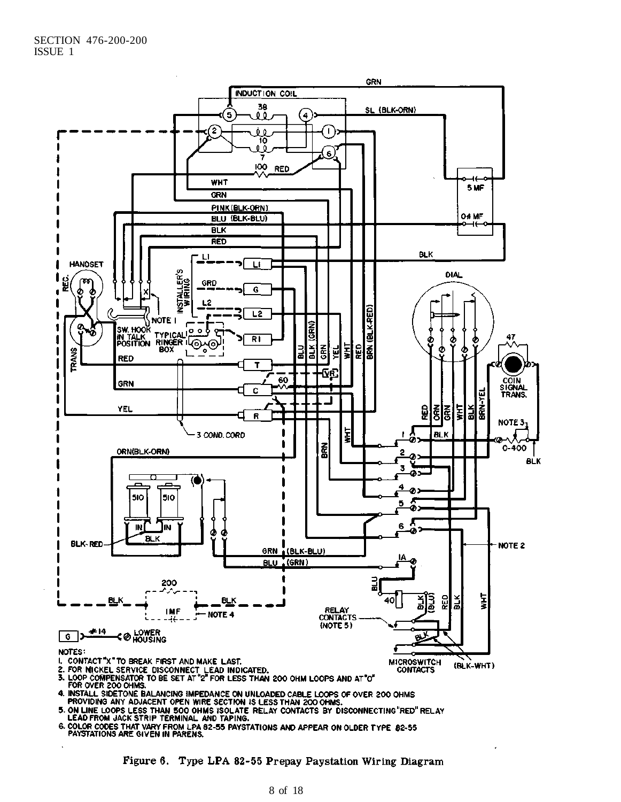

Figure 6. Type LPA 82-55 Prepay Paystation Wiring Diagram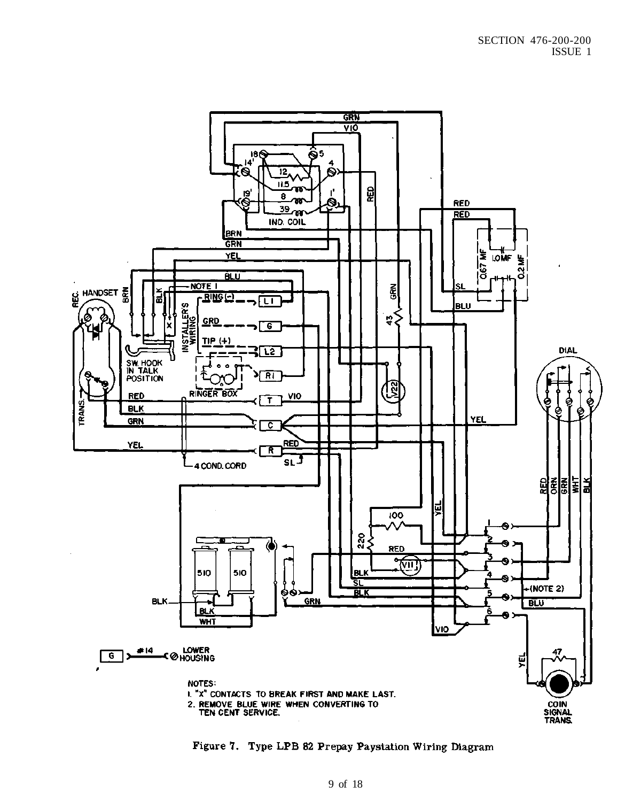

Figure 7. Type LPB 82 Prepay Paystation Wiring Diagram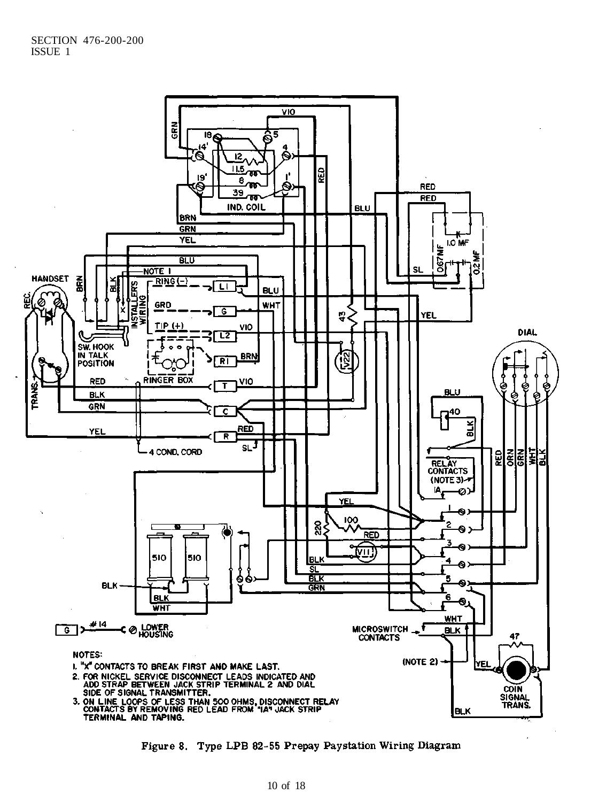

Figure 8. Type LPB 82-55 Prepay Paystation Wiring Diagram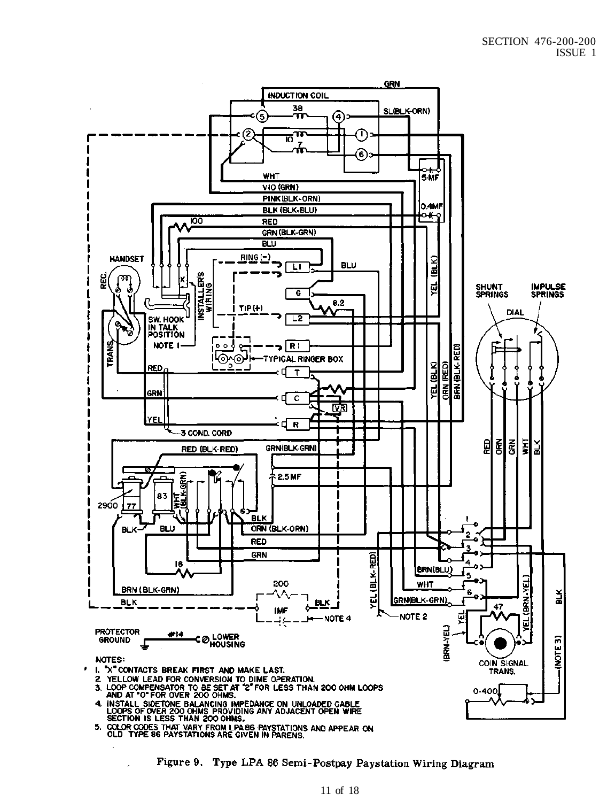

Figure 9. Type LPA 86 Semi-Postpay Paystation Wiring Diagram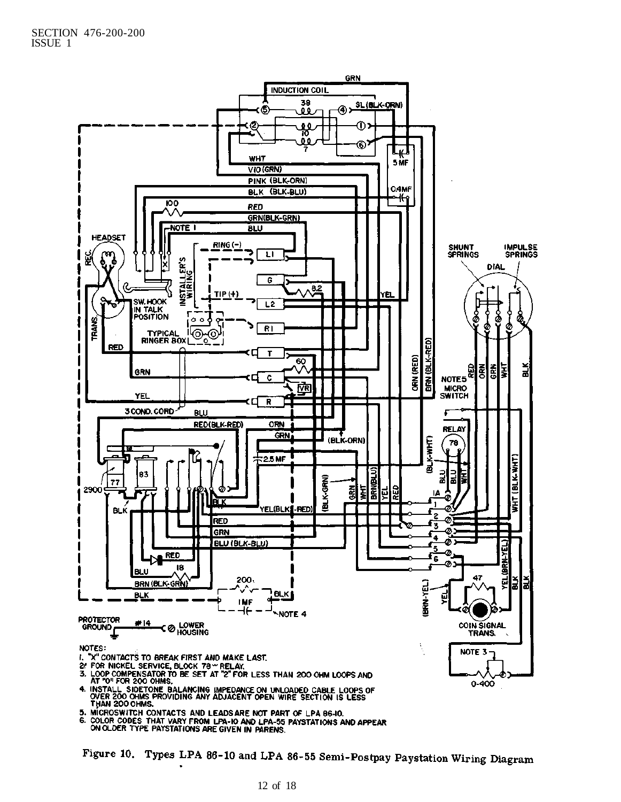

1, WHY LOVE CONTACTS AND LEADS ARE NOT PART OF LPA 86-10.<br>6. COLOR CODES THAT VARY FROM LPA-10 AND LPA-55 PAYSTATIONS AND APPEAR<br>ON OLDER TYPE PAYSTATIONS ARE GIVEN IN PARENS.

Figure 10. Types LPA 86-10 and LPA 86-55 Semi-Postpay Paystation Wiring Diagram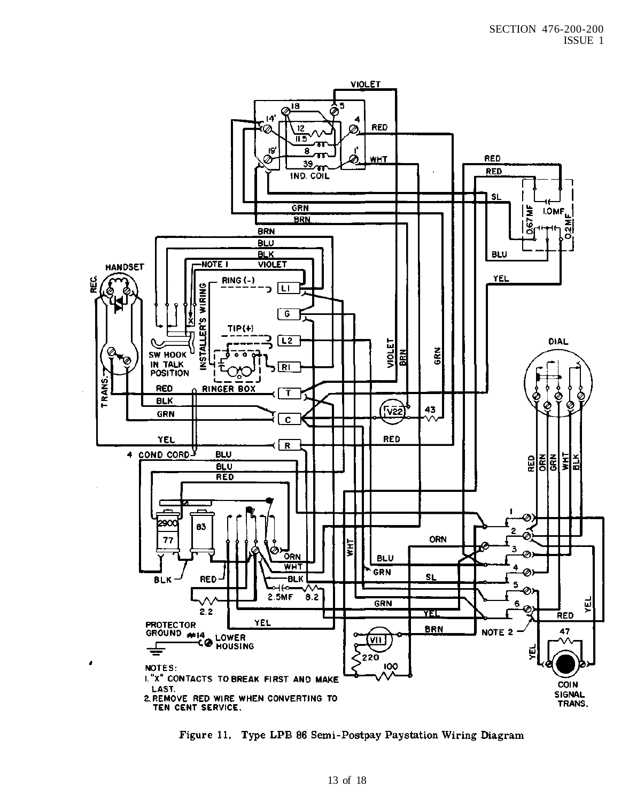

Figure 11. Type LPB 86 Semi-Postpay Paystation Wiring Diagram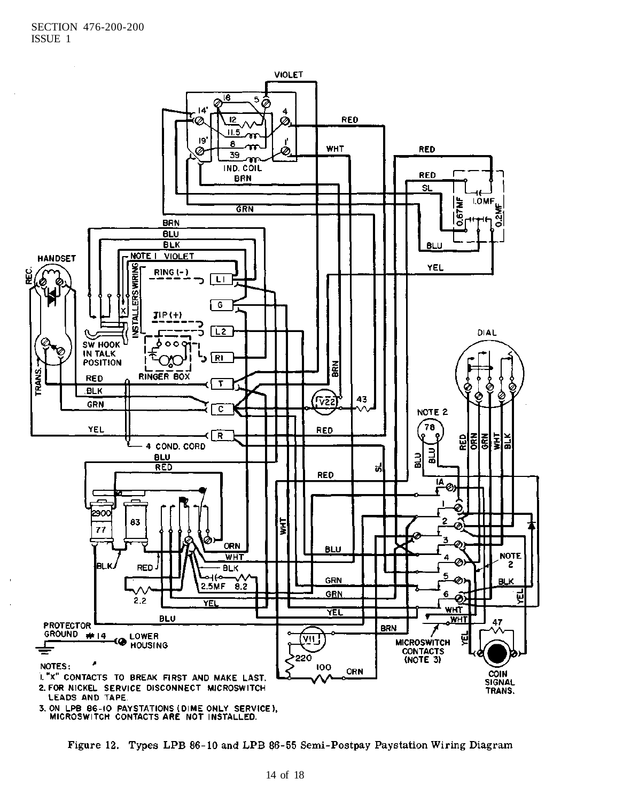

Figure 12. Types LPB 86-10 and LPB 86-55 Semi-Postpay Paystation Wiring Diagram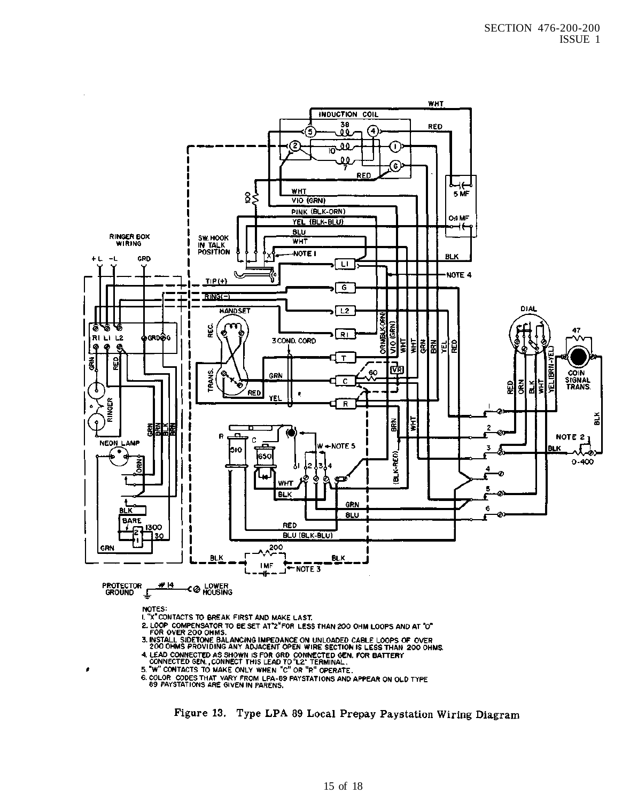

6. COLOR CODES THAT VARY FROM LPA-89 PAYSTATIONS AND APPEAR ON OLD TYPE<br>69 PAYSTATIONS ARE GIVEN IN PARENS.

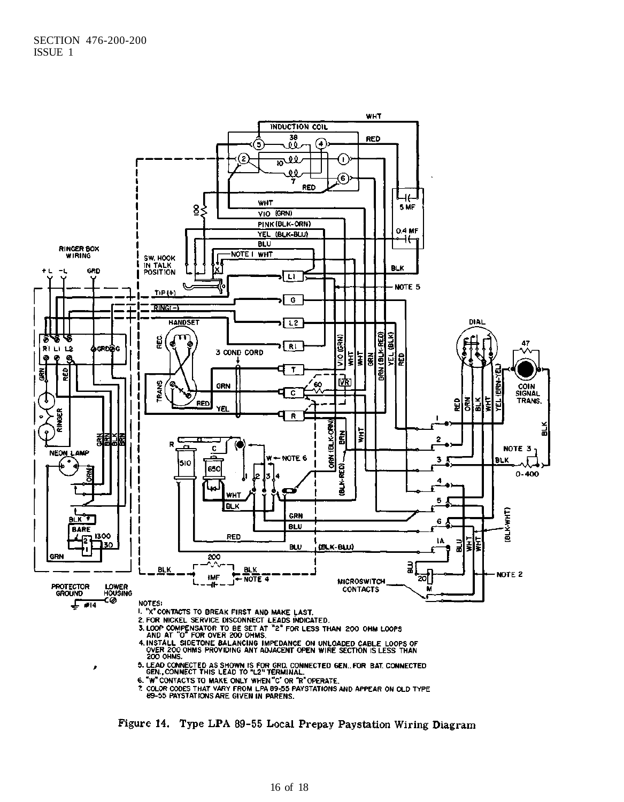

Figure 14. Type LPA 89-55 Local Prepay Paystation Wiring Diagram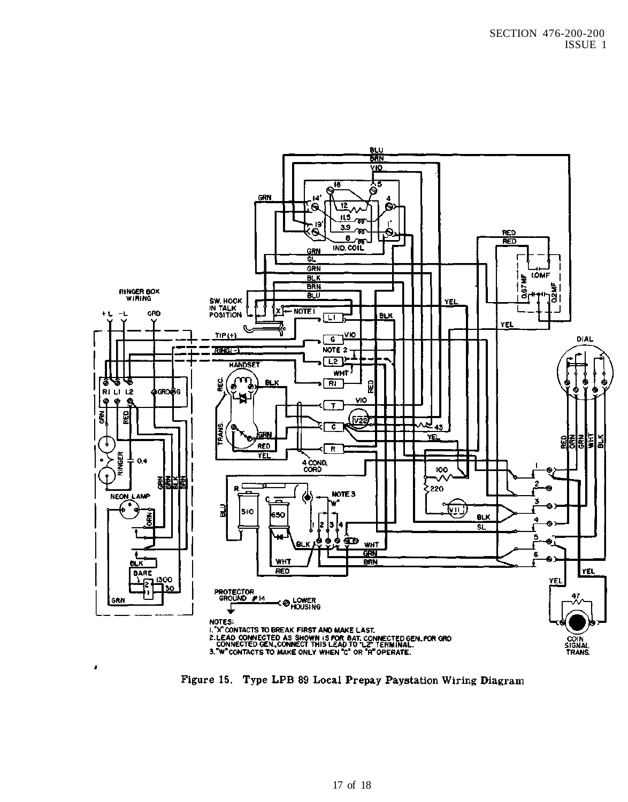

Figure 15. Type LPB 89 Local Prepay Paystation Wiring Diagram